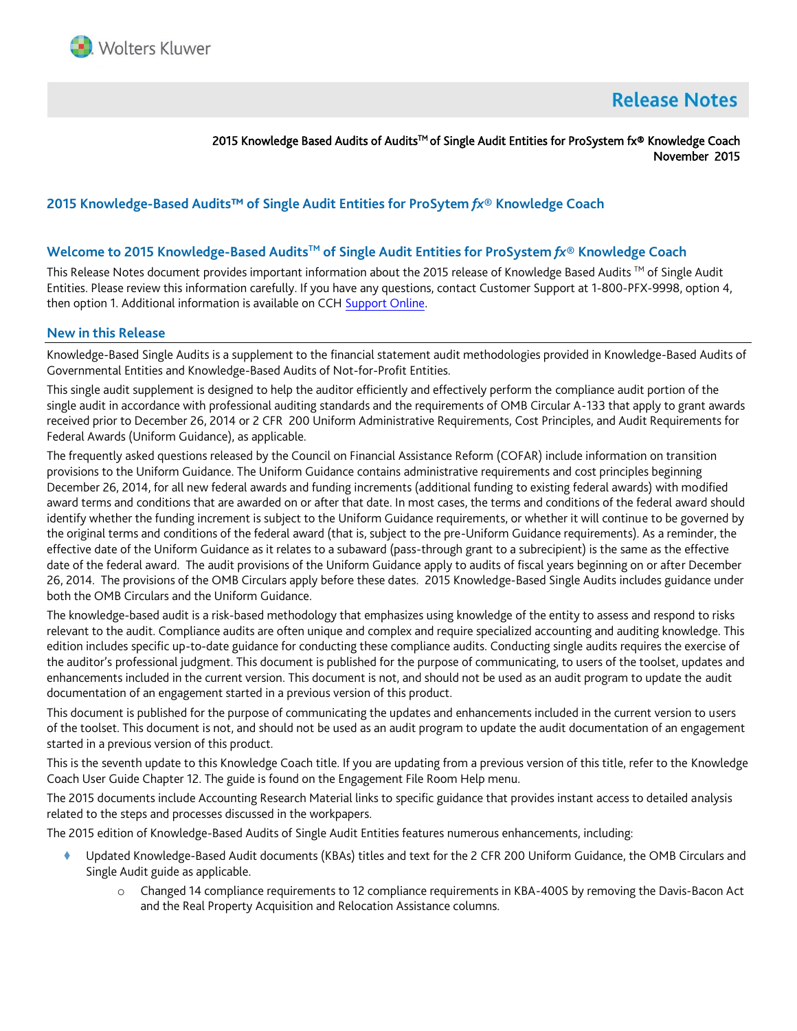

# **Release Notes**

2015 Knowledge Based Audits of Audits<sup>™</sup> of Single Audit Entities for ProSystem fx® Knowledge Coach November 2015

## **2015 Knowledge-Based Audits™ of Single Audit Entities for ProSytem** *fx***® Knowledge Coach**

#### **Welcome to 2015 Knowledge-Based AuditsTM of Single Audit Entities for ProSystem** *fx***® Knowledge Coach**

This Release Notes document provides important information about the 2015 release of Knowledge Based Audits ™ of Single Audit Entities. Please review this information carefully. If you have any questions, contact Customer Support at 1-800-PFX-9998, option 4, then option 1. Additional information is available on CCH [Support Online.](http://support.cch.com/productsupport/)

#### **New in this Release**

Knowledge-Based Single Audits is a supplement to the financial statement audit methodologies provided in Knowledge-Based Audits of Governmental Entities and Knowledge-Based Audits of Not-for-Profit Entities.

This single audit supplement is designed to help the auditor efficiently and effectively perform the compliance audit portion of the single audit in accordance with professional auditing standards and the requirements of OMB Circular A-133 that apply to grant awards received prior to December 26, 2014 or 2 CFR 200 Uniform Administrative Requirements, Cost Principles, and Audit Requirements for Federal Awards (Uniform Guidance), as applicable.

The frequently asked questions released by the Council on Financial Assistance Reform (COFAR) include information on transition provisions to the Uniform Guidance. The Uniform Guidance contains administrative requirements and cost principles beginning December 26, 2014, for all new federal awards and funding increments (additional funding to existing federal awards) with modified award terms and conditions that are awarded on or after that date. In most cases, the terms and conditions of the federal award should identify whether the funding increment is subject to the Uniform Guidance requirements, or whether it will continue to be governed by the original terms and conditions of the federal award (that is, subject to the pre-Uniform Guidance requirements). As a reminder, the effective date of the Uniform Guidance as it relates to a subaward (pass-through grant to a subrecipient) is the same as the effective date of the federal award. The audit provisions of the Uniform Guidance apply to audits of fiscal years beginning on or after December 26, 2014. The provisions of the OMB Circulars apply before these dates. 2015 Knowledge-Based Single Audits includes guidance under both the OMB Circulars and the Uniform Guidance.

The knowledge-based audit is a risk-based methodology that emphasizes using knowledge of the entity to assess and respond to risks relevant to the audit. Compliance audits are often unique and complex and require specialized accounting and auditing knowledge. This edition includes specific up-to-date guidance for conducting these compliance audits. Conducting single audits requires the exercise of the auditor's professional judgment. This document is published for the purpose of communicating, to users of the toolset, updates and enhancements included in the current version. This document is not, and should not be used as an audit program to update the audit documentation of an engagement started in a previous version of this product.

This document is published for the purpose of communicating the updates and enhancements included in the current version to users of the toolset. This document is not, and should not be used as an audit program to update the audit documentation of an engagement started in a previous version of this product.

This is the seventh update to this Knowledge Coach title. If you are updating from a previous version of this title, refer to the Knowledge Coach User Guide Chapter 12. The guide is found on the Engagement File Room Help menu.

The 2015 documents include Accounting Research Material links to specific guidance that provides instant access to detailed analysis related to the steps and processes discussed in the workpapers.

The 2015 edition of Knowledge-Based Audits of Single Audit Entities features numerous enhancements, including:

- Updated Knowledge-Based Audit documents (KBAs) titles and text for the 2 CFR 200 Uniform Guidance, the OMB Circulars and Single Audit guide as applicable.
	- o Changed 14 compliance requirements to 12 compliance requirements in KBA-400S by removing the Davis-Bacon Act and the Real Property Acquisition and Relocation Assistance columns.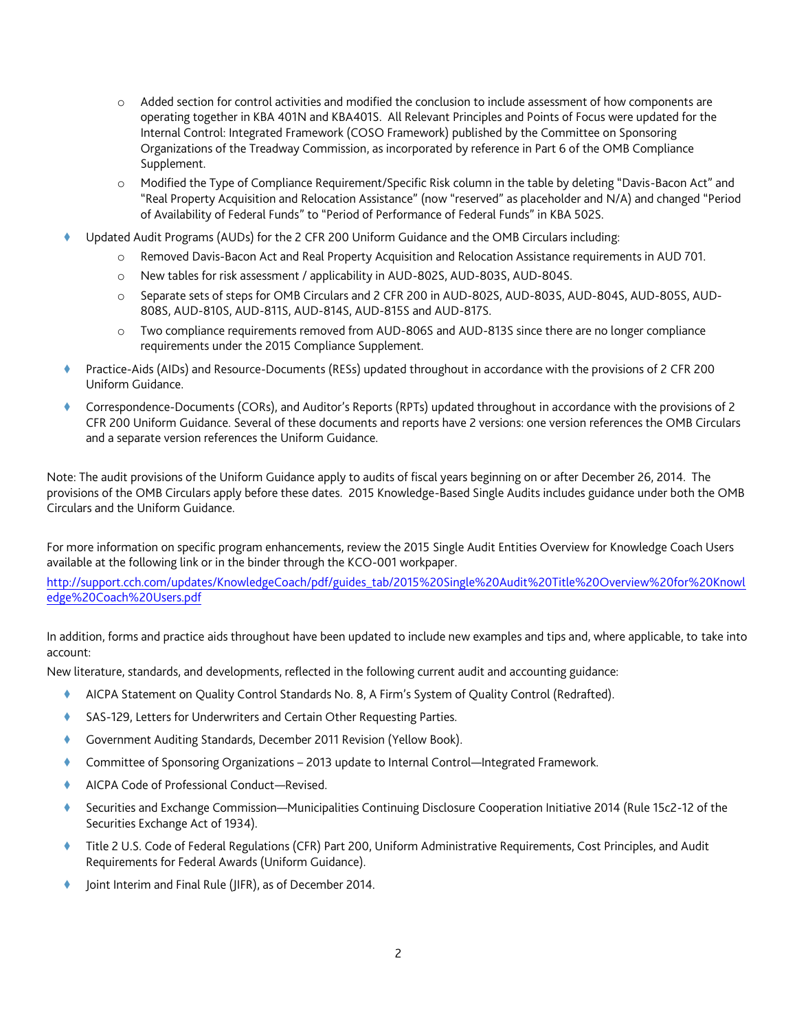- o Added section for control activities and modified the conclusion to include assessment of how components are operating together in KBA 401N and KBA401S. All Relevant Principles and Points of Focus were updated for the Internal Control: Integrated Framework (COSO Framework) published by the Committee on Sponsoring Organizations of the Treadway Commission, as incorporated by reference in Part 6 of the OMB Compliance Supplement.
- o Modified the Type of Compliance Requirement/Specific Risk column in the table by deleting "Davis-Bacon Act" and "Real Property Acquisition and Relocation Assistance" (now "reserved" as placeholder and N/A) and changed "Period of Availability of Federal Funds" to "Period of Performance of Federal Funds" in KBA 502S.
- Updated Audit Programs (AUDs) for the 2 CFR 200 Uniform Guidance and the OMB Circulars including:
	- o Removed Davis-Bacon Act and Real Property Acquisition and Relocation Assistance requirements in AUD 701.
	- o New tables for risk assessment / applicability in AUD-802S, AUD-803S, AUD-804S.
	- o Separate sets of steps for OMB Circulars and 2 CFR 200 in AUD-802S, AUD-803S, AUD-804S, AUD-805S, AUD-808S, AUD-810S, AUD-811S, AUD-814S, AUD-815S and AUD-817S.
	- o Two compliance requirements removed from AUD-806S and AUD-813S since there are no longer compliance requirements under the 2015 Compliance Supplement.
- Practice-Aids (AIDs) and Resource-Documents (RESs) updated throughout in accordance with the provisions of 2 CFR 200 Uniform Guidance.
- Correspondence-Documents (CORs), and Auditor's Reports (RPTs) updated throughout in accordance with the provisions of 2 CFR 200 Uniform Guidance. Several of these documents and reports have 2 versions: one version references the OMB Circulars and a separate version references the Uniform Guidance.

Note: The audit provisions of the Uniform Guidance apply to audits of fiscal years beginning on or after December 26, 2014. The provisions of the OMB Circulars apply before these dates. 2015 Knowledge-Based Single Audits includes guidance under both the OMB Circulars and the Uniform Guidance.

For more information on specific program enhancements, review the 2015 Single Audit Entities Overview for Knowledge Coach Users available at the following link or in the binder through the KCO-001 workpaper.

[http://support.cch.com/updates/KnowledgeCoach/pdf/guides\\_tab/2015%20Single%20Audit%20Title%20Overview%20for%20Knowl](http://support.cch.com/updates/KnowledgeCoach/pdf/guides_tab/2015%20Single%20Audit%20Title%20Overview%20for%20Knowledge%20Coach%20Users.pdf) [edge%20Coach%20Users.pdf](http://support.cch.com/updates/KnowledgeCoach/pdf/guides_tab/2015%20Single%20Audit%20Title%20Overview%20for%20Knowledge%20Coach%20Users.pdf)

In addition, forms and practice aids throughout have been updated to include new examples and tips and, where applicable, to take into account:

New literature, standards, and developments, reflected in the following current audit and accounting guidance:

- AICPA Statement on Quality Control Standards No. 8, A Firm's System of Quality Control (Redrafted).
- SAS-129, Letters for Underwriters and Certain Other Requesting Parties.
- Government Auditing Standards, December 2011 Revision (Yellow Book).
- ♦ Committee of Sponsoring Organizations 2013 update to Internal Control—Integrated Framework.
- AICPA Code of Professional Conduct—Revised.
- Securities and Exchange Commission—Municipalities Continuing Disclosure Cooperation Initiative 2014 (Rule 15c2-12 of the Securities Exchange Act of 1934).
- Title 2 U.S. Code of Federal Regulations (CFR) Part 200, Uniform Administrative Requirements, Cost Principles, and Audit Requirements for Federal Awards (Uniform Guidance).
- Joint Interim and Final Rule (JIFR), as of December 2014.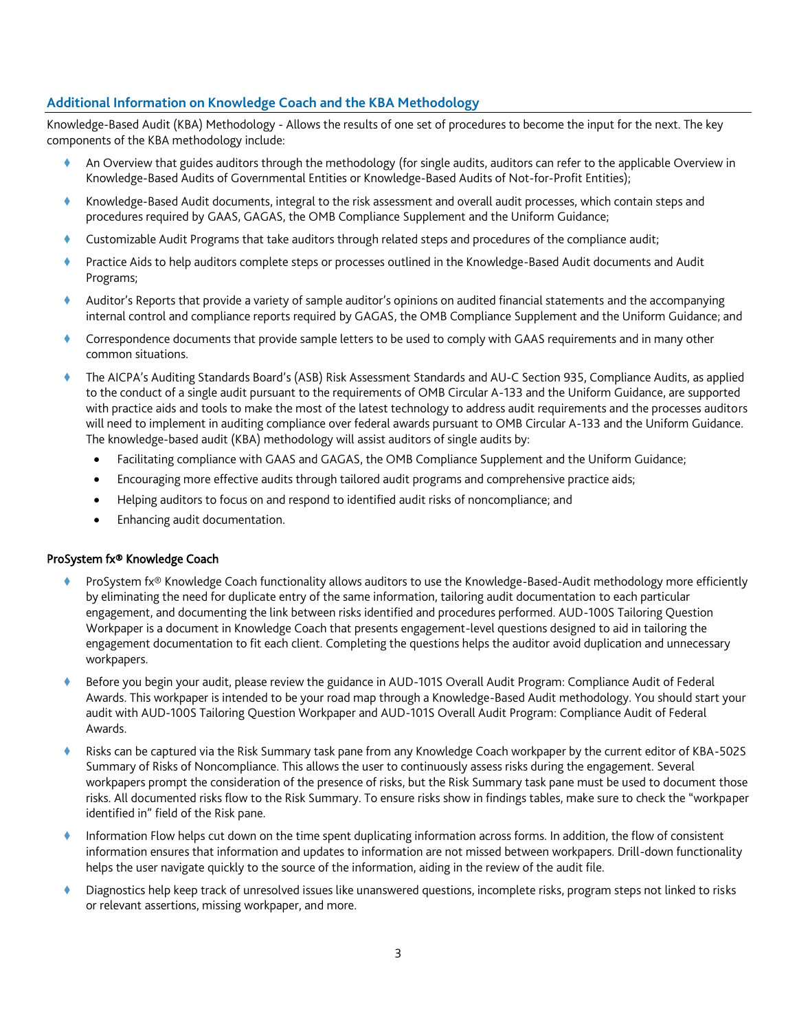## **Additional Information on Knowledge Coach and the KBA Methodology**

Knowledge-Based Audit (KBA) Methodology - Allows the results of one set of procedures to become the input for the next. The key components of the KBA methodology include:

- An Overview that guides auditors through the methodology (for single audits, auditors can refer to the applicable Overview in Knowledge-Based Audits of Governmental Entities or Knowledge-Based Audits of Not-for-Profit Entities);
- Knowledge-Based Audit documents, integral to the risk assessment and overall audit processes, which contain steps and procedures required by GAAS, GAGAS, the OMB Compliance Supplement and the Uniform Guidance;
- Customizable Audit Programs that take auditors through related steps and procedures of the compliance audit;
- Practice Aids to help auditors complete steps or processes outlined in the Knowledge-Based Audit documents and Audit Programs;
- Auditor's Reports that provide a variety of sample auditor's opinions on audited financial statements and the accompanying internal control and compliance reports required by GAGAS, the OMB Compliance Supplement and the Uniform Guidance; and
- Correspondence documents that provide sample letters to be used to comply with GAAS requirements and in many other common situations.
- The AICPA's Auditing Standards Board's (ASB) Risk Assessment Standards and AU-C Section 935, Compliance Audits, as applied to the conduct of a single audit pursuant to the requirements of OMB Circular A-133 and the Uniform Guidance, are supported with practice aids and tools to make the most of the latest technology to address audit requirements and the processes auditors will need to implement in auditing compliance over federal awards pursuant to OMB Circular A-133 and the Uniform Guidance. The knowledge-based audit (KBA) methodology will assist auditors of single audits by:
	- Facilitating compliance with GAAS and GAGAS, the OMB Compliance Supplement and the Uniform Guidance;
	- Encouraging more effective audits through tailored audit programs and comprehensive practice aids;
	- Helping auditors to focus on and respond to identified audit risks of noncompliance; and
	- Enhancing audit documentation.

#### ProSystem fx® Knowledge Coach

- ProSystem fx® Knowledge Coach functionality allows auditors to use the Knowledge-Based-Audit methodology more efficiently by eliminating the need for duplicate entry of the same information, tailoring audit documentation to each particular engagement, and documenting the link between risks identified and procedures performed. AUD-100S Tailoring Question Workpaper is a document in Knowledge Coach that presents engagement-level questions designed to aid in tailoring the engagement documentation to fit each client. Completing the questions helps the auditor avoid duplication and unnecessary workpapers.
- Before you begin your audit, please review the guidance in AUD-101S Overall Audit Program: Compliance Audit of Federal Awards. This workpaper is intended to be your road map through a Knowledge-Based Audit methodology. You should start your audit with AUD-100S Tailoring Question Workpaper and AUD-101S Overall Audit Program: Compliance Audit of Federal Awards.
- Risks can be captured via the Risk Summary task pane from any Knowledge Coach workpaper by the current editor of KBA-502S Summary of Risks of Noncompliance. This allows the user to continuously assess risks during the engagement. Several workpapers prompt the consideration of the presence of risks, but the Risk Summary task pane must be used to document those risks. All documented risks flow to the Risk Summary. To ensure risks show in findings tables, make sure to check the "workpaper identified in" field of the Risk pane.
- Information Flow helps cut down on the time spent duplicating information across forms. In addition, the flow of consistent information ensures that information and updates to information are not missed between workpapers. Drill-down functionality helps the user navigate quickly to the source of the information, aiding in the review of the audit file.
- Diagnostics help keep track of unresolved issues like unanswered questions, incomplete risks, program steps not linked to risks or relevant assertions, missing workpaper, and more.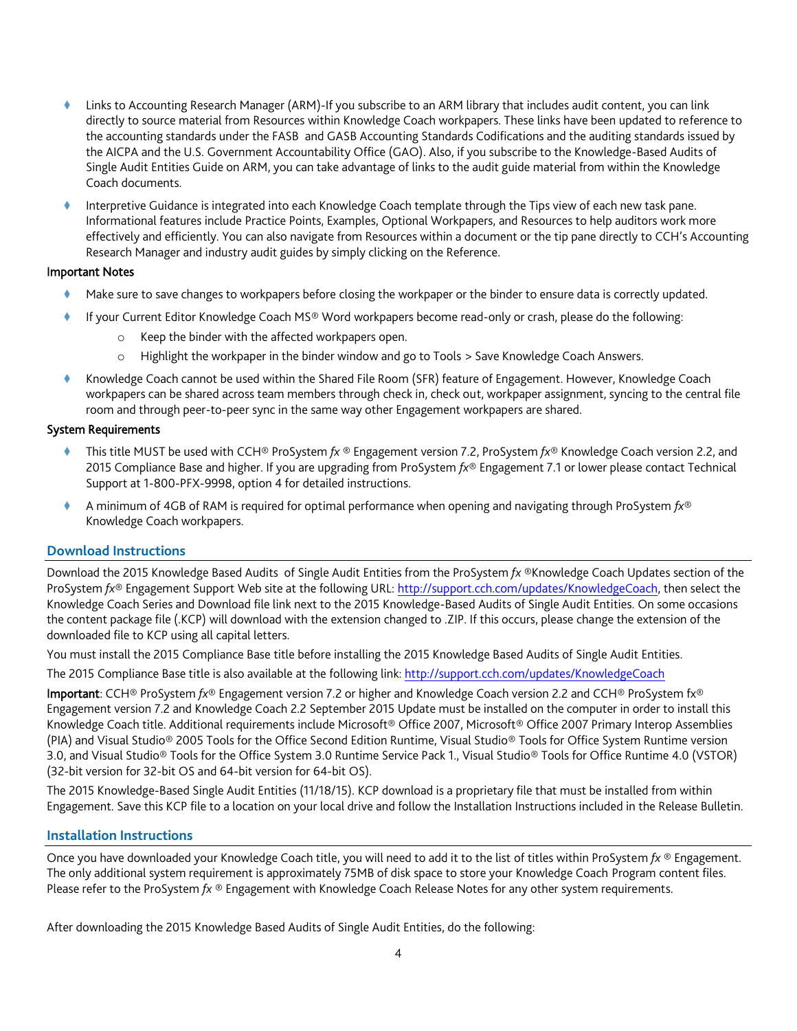- Links to Accounting Research Manager (ARM)-If you subscribe to an ARM library that includes audit content, you can link directly to source material from Resources within Knowledge Coach workpapers. These links have been updated to reference to the accounting standards under the FASB and GASB Accounting Standards Codifications and the auditing standards issued by the AICPA and the U.S. Government Accountability Office (GAO). Also, if you subscribe to the Knowledge-Based Audits of Single Audit Entities Guide on ARM, you can take advantage of links to the audit guide material from within the Knowledge Coach documents.
- Interpretive Guidance is integrated into each Knowledge Coach template through the Tips view of each new task pane. Informational features include Practice Points, Examples, Optional Workpapers, and Resources to help auditors work more effectively and efficiently. You can also navigate from Resources within a document or the tip pane directly to CCH's Accounting Research Manager and industry audit guides by simply clicking on the Reference.

#### Important Notes

- Make sure to save changes to workpapers before closing the workpaper or the binder to ensure data is correctly updated.
- If your Current Editor Knowledge Coach MS® Word workpapers become read-only or crash, please do the following:
	- o Keep the binder with the affected workpapers open.
	- o Highlight the workpaper in the binder window and go to Tools > Save Knowledge Coach Answers.
- Knowledge Coach cannot be used within the Shared File Room (SFR) feature of Engagement. However, Knowledge Coach workpapers can be shared across team members through check in, check out, workpaper assignment, syncing to the central file room and through peer-to-peer sync in the same way other Engagement workpapers are shared.

#### System Requirements

- This title MUST be used with CCH® ProSystem *fx* ® Engagement version 7.2, ProSystem *fx*® Knowledge Coach version 2.2, and 2015 Compliance Base and higher. If you are upgrading from ProSystem *fx*® Engagement 7.1 or lower please contact Technical Support at 1-800-PFX-9998, option 4 for detailed instructions.
- A minimum of 4GB of RAM is required for optimal performance when opening and navigating through ProSystem *fx*® Knowledge Coach workpapers.

#### **Download Instructions**

Download the 2015 Knowledge Based Audits of Single Audit Entities from the ProSystem *fx* ®Knowledge Coach Updates section of the ProSystem *fx*® Engagement Support Web site at the following URL[: http://support.cch.com/updates/KnowledgeCoach,](http://support.cch.com/updates/KnowledgeCoach) then select the Knowledge Coach Series and Download file link next to the 2015 Knowledge-Based Audits of Single Audit Entities. On some occasions the content package file (.KCP) will download with the extension changed to .ZIP. If this occurs, please change the extension of the downloaded file to KCP using all capital letters.

You must install the 2015 Compliance Base title before installing the 2015 Knowledge Based Audits of Single Audit Entities.

The 2015 Compliance Base title is also available at the following link:<http://support.cch.com/updates/KnowledgeCoach>

Important: CCH® ProSystem *fx*® Engagement version 7.2 or higher and Knowledge Coach version 2.2 and CCH® ProSystem fx® Engagement version 7.2 and Knowledge Coach 2.2 September 2015 Update must be installed on the computer in order to install this Knowledge Coach title. Additional requirements include Microsoft® Office 2007, Microsoft® Office 2007 Primary Interop Assemblies (PIA) and Visual Studio® 2005 Tools for the Office Second Edition Runtime, Visual Studio® Tools for Office System Runtime version 3.0, and Visual Studio® Tools for the Office System 3.0 Runtime Service Pack 1., Visual Studio® Tools for Office Runtime 4.0 (VSTOR) (32-bit version for 32-bit OS and 64-bit version for 64-bit OS).

The 2015 Knowledge-Based Single Audit Entities (11/18/15). KCP download is a proprietary file that must be installed from within Engagement. Save this KCP file to a location on your local drive and follow the Installation Instructions included in the Release Bulletin.

#### **Installation Instructions**

Once you have downloaded your Knowledge Coach title, you will need to add it to the list of titles within ProSystem *fx* ® Engagement. The only additional system requirement is approximately 75MB of disk space to store your Knowledge Coach Program content files. Please refer to the ProSystem *fx* ® Engagement with Knowledge Coach Release Notes for any other system requirements.

After downloading the 2015 Knowledge Based Audits of Single Audit Entities, do the following: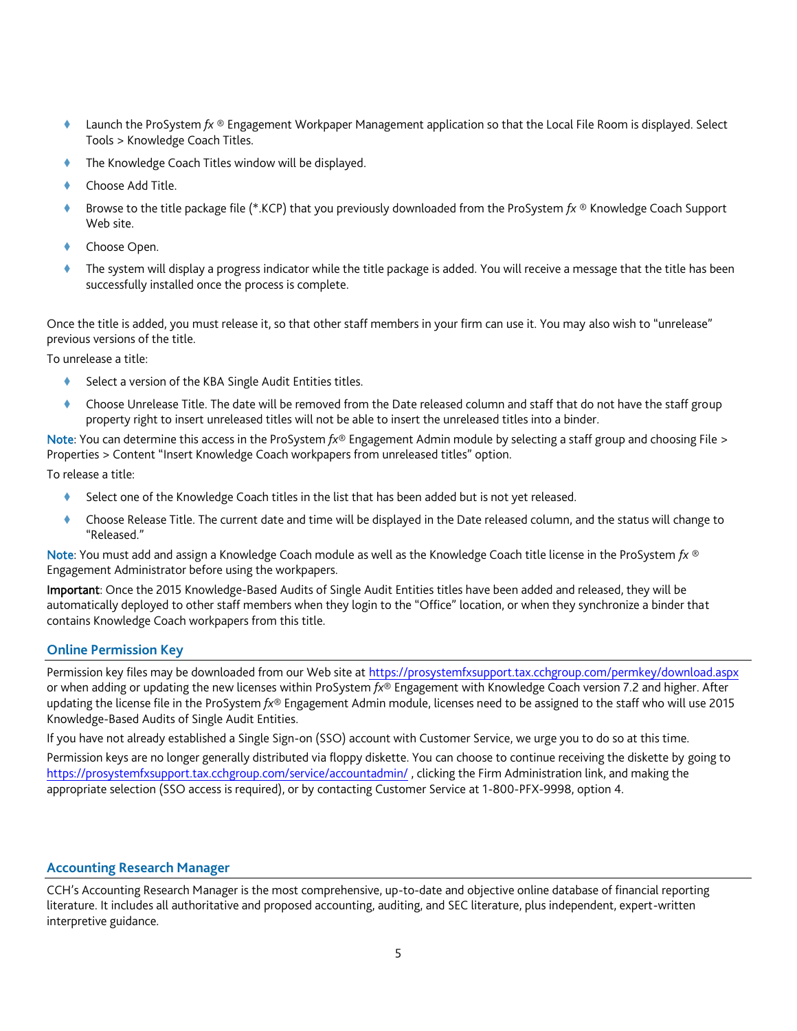- Launch the ProSystem *fx* ® Engagement Workpaper Management application so that the Local File Room is displayed. Select Tools > Knowledge Coach Titles.
- The Knowledge Coach Titles window will be displayed.
- Choose Add Title.
- Browse to the title package file (\*.KCP) that you previously downloaded from the ProSystem *fx* ® Knowledge Coach Support Web site.
- Choose Open.
- The system will display a progress indicator while the title package is added. You will receive a message that the title has been successfully installed once the process is complete.

Once the title is added, you must release it, so that other staff members in your firm can use it. You may also wish to "unrelease" previous versions of the title.

To unrelease a title:

- Select a version of the KBA Single Audit Entities titles.
- Choose Unrelease Title. The date will be removed from the Date released column and staff that do not have the staff group property right to insert unreleased titles will not be able to insert the unreleased titles into a binder.

Note: You can determine this access in the ProSystem *fx*® Engagement Admin module by selecting a staff group and choosing File > Properties > Content "Insert Knowledge Coach workpapers from unreleased titles" option.

To release a title:

- Select one of the Knowledge Coach titles in the list that has been added but is not yet released.
- Choose Release Title. The current date and time will be displayed in the Date released column, and the status will change to "Released."

Note: You must add and assign a Knowledge Coach module as well as the Knowledge Coach title license in the ProSystem *fx* ® Engagement Administrator before using the workpapers.

Important: Once the 2015 Knowledge-Based Audits of Single Audit Entities titles have been added and released, they will be automatically deployed to other staff members when they login to the "Office" location, or when they synchronize a binder that contains Knowledge Coach workpapers from this title.

## **Online Permission Key**

Permission key files may be downloaded from our Web site a[t https://prosystemfxsupport.tax.cchgroup.com/permkey/download.aspx](https://prosystemfxsupport.tax.cchgroup.com/permkey/download.aspx)  or when adding or updating the new licenses within ProSystem *fx*® Engagement with Knowledge Coach version 7.2 and higher. After updating the license file in the ProSystem *fx*® Engagement Admin module, licenses need to be assigned to the staff who will use 2015 Knowledge-Based Audits of Single Audit Entities.

If you have not already established a Single Sign-on (SSO) account with Customer Service, we urge you to do so at this time.

Permission keys are no longer generally distributed via floppy diskette. You can choose to continue receiving the diskette by going to <https://prosystemfxsupport.tax.cchgroup.com/service/accountadmin/> , clicking the Firm Administration link, and making the appropriate selection (SSO access is required), or by contacting Customer Service at 1-800-PFX-9998, option 4.

## **Accounting Research Manager**

CCH's Accounting Research Manager is the most comprehensive, up-to-date and objective online database of financial reporting literature. It includes all authoritative and proposed accounting, auditing, and SEC literature, plus independent, expert-written interpretive guidance.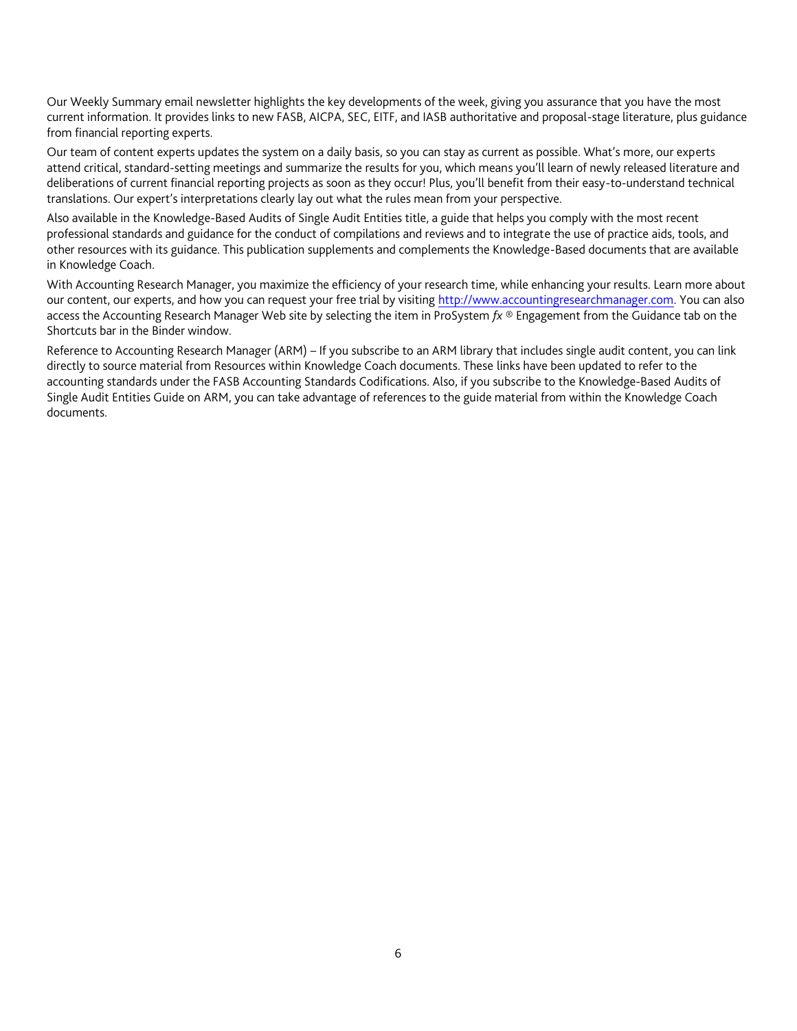Our Weekly Summary email newsletter highlights the key developments of the week, giving you assurance that you have the most current information. It provides links to new FASB, AICPA, SEC, EITF, and IASB authoritative and proposal-stage literature, plus guidance from financial reporting experts.

Our team of content experts updates the system on a daily basis, so you can stay as current as possible. What's more, our experts attend critical, standard-setting meetings and summarize the results for you, which means you'll learn of newly released literature and deliberations of current financial reporting projects as soon as they occur! Plus, you'll benefit from their easy-to-understand technical translations. Our expert's interpretations clearly lay out what the rules mean from your perspective.

Also available in the Knowledge-Based Audits of Single Audit Entities title, a guide that helps you comply with the most recent professional standards and guidance for the conduct of compilations and reviews and to integrate the use of practice aids, tools, and other resources with its guidance. This publication supplements and complements the Knowledge-Based documents that are available in Knowledge Coach.

With Accounting Research Manager, you maximize the efficiency of your research time, while enhancing your results. Learn more about our content, our experts, and how you can request your free trial by visiting [http://www.accountingresearchmanager.com.](http://www.accountingresearchmanager.com/) You can also access the Accounting Research Manager Web site by selecting the item in ProSystem *fx* ® Engagement from the Guidance tab on the Shortcuts bar in the Binder window.

Reference to Accounting Research Manager (ARM) – If you subscribe to an ARM library that includes single audit content, you can link directly to source material from Resources within Knowledge Coach documents. These links have been updated to refer to the accounting standards under the FASB Accounting Standards Codifications. Also, if you subscribe to the Knowledge-Based Audits of Single Audit Entities Guide on ARM, you can take advantage of references to the guide material from within the Knowledge Coach documents.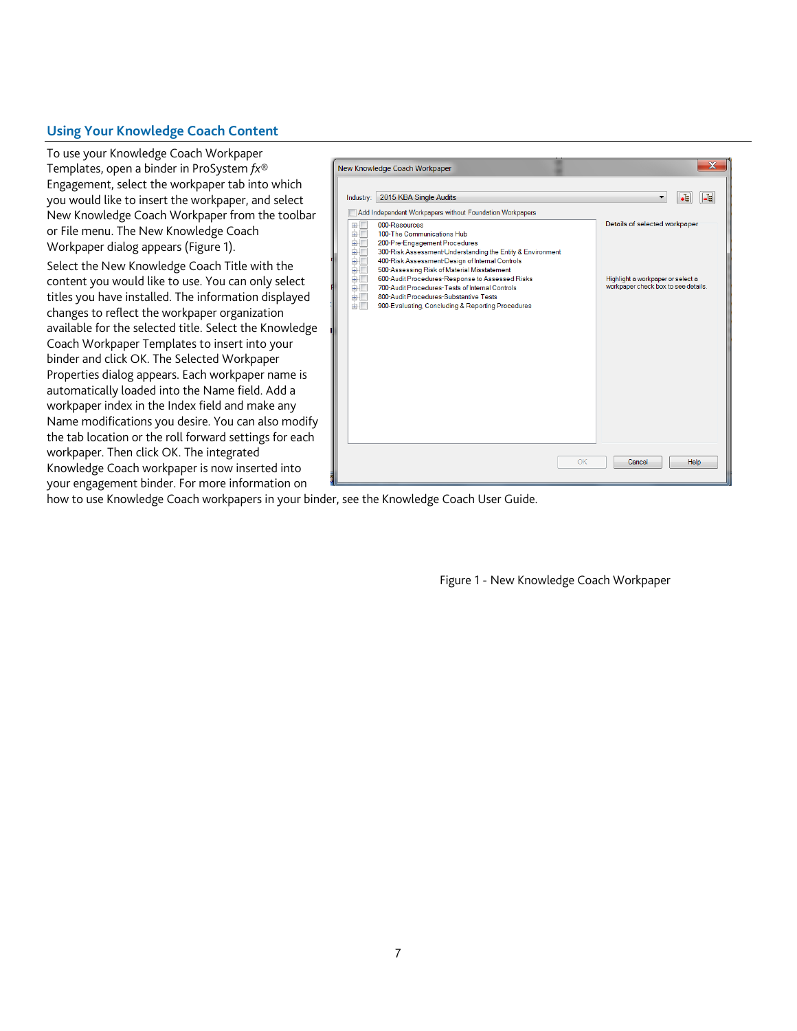# **Using Your Knowledge Coach Content**

To use your Knowledge Coach Workpaper Templates, open a binder in ProSystem *fx*® Engagement, select the workpaper tab into which you would like to insert the workpaper, and select New Knowledge Coach Workpaper from the toolbar or File menu. The New Knowledge Coach Workpaper dialog appears (Figure 1).

Select the New Knowledge Coach Title with the content you would like to use. You can only select titles you have installed. The information displayed changes to reflect the workpaper organization available for the selected title. Select the Knowledge Coach Workpaper Templates to insert into your binder and click OK. The Selected Workpaper Properties dialog appears. Each workpaper name is automatically loaded into the Name field. Add a workpaper index in the Index field and make any Name modifications you desire. You can also modify the tab location or the roll forward settings for each workpaper. Then click OK. The integrated Knowledge Coach workpaper is now inserted into your engagement binder. For more information on



how to use Knowledge Coach workpapers in your binder, see the Knowledge Coach User Guide.

Figure 1 - New Knowledge Coach Workpaper